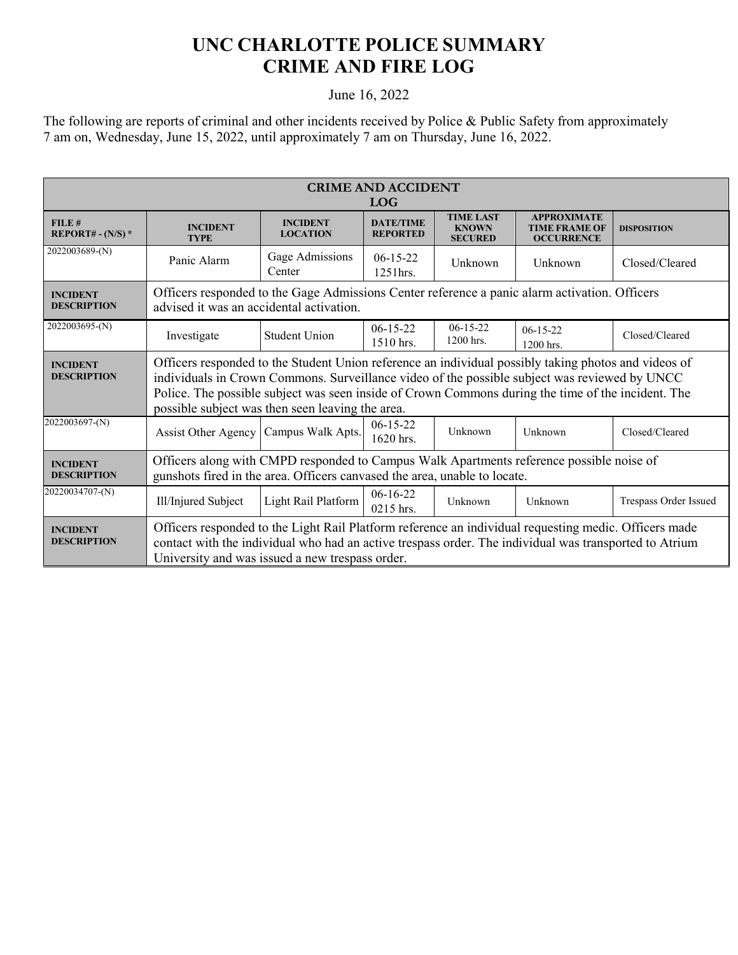## **UNC CHARLOTTE POLICE SUMMARY CRIME AND FIRE LOG**

## June 16, 2022

The following are reports of criminal and other incidents received by Police & Public Safety from approximately 7 am on, Wednesday, June 15, 2022, until approximately 7 am on Thursday, June 16, 2022.

| <b>CRIME AND ACCIDENT</b><br><b>LOG</b> |                                                                                                                                                                                                                                                                                                                                                                 |                                    |                                     |                                                    |                                                                 |                       |  |
|-----------------------------------------|-----------------------------------------------------------------------------------------------------------------------------------------------------------------------------------------------------------------------------------------------------------------------------------------------------------------------------------------------------------------|------------------------------------|-------------------------------------|----------------------------------------------------|-----------------------------------------------------------------|-----------------------|--|
| FILE#<br>REPORT# - $(N/S)$ *            | <b>INCIDENT</b><br><b>TYPE</b>                                                                                                                                                                                                                                                                                                                                  | <b>INCIDENT</b><br><b>LOCATION</b> | <b>DATE/TIME</b><br><b>REPORTED</b> | <b>TIME LAST</b><br><b>KNOWN</b><br><b>SECURED</b> | <b>APPROXIMATE</b><br><b>TIME FRAME OF</b><br><b>OCCURRENCE</b> | <b>DISPOSITION</b>    |  |
| 2022003689-(N)                          | Panic Alarm                                                                                                                                                                                                                                                                                                                                                     | Gage Admissions<br>Center          | $06-15-22$<br>1251 hrs.             | Unknown                                            | Unknown                                                         | Closed/Cleared        |  |
| <b>INCIDENT</b><br><b>DESCRIPTION</b>   | Officers responded to the Gage Admissions Center reference a panic alarm activation. Officers<br>advised it was an accidental activation.                                                                                                                                                                                                                       |                                    |                                     |                                                    |                                                                 |                       |  |
| 2022003695-(N)                          | Investigate                                                                                                                                                                                                                                                                                                                                                     | <b>Student Union</b>               | $06-15-22$<br>1510 hrs.             | $06-15-22$<br>1200 hrs.                            | $06-15-22$<br>1200 hrs.                                         | Closed/Cleared        |  |
| <b>INCIDENT</b><br><b>DESCRIPTION</b>   | Officers responded to the Student Union reference an individual possibly taking photos and videos of<br>individuals in Crown Commons. Surveillance video of the possible subject was reviewed by UNCC<br>Police. The possible subject was seen inside of Crown Commons during the time of the incident. The<br>possible subject was then seen leaving the area. |                                    |                                     |                                                    |                                                                 |                       |  |
| 2022003697-(N)                          | Assist Other Agency   Campus Walk Apts.                                                                                                                                                                                                                                                                                                                         |                                    | $06-15-22$<br>1620 hrs.             | Unknown                                            | Unknown                                                         | Closed/Cleared        |  |
| <b>INCIDENT</b><br><b>DESCRIPTION</b>   | Officers along with CMPD responded to Campus Walk Apartments reference possible noise of<br>gunshots fired in the area. Officers canvased the area, unable to locate.                                                                                                                                                                                           |                                    |                                     |                                                    |                                                                 |                       |  |
| 20220034707-(N)                         | Ill/Injured Subject                                                                                                                                                                                                                                                                                                                                             | Light Rail Platform                | $06-16-22$<br>0215 hrs.             | Unknown                                            | Unknown                                                         | Trespass Order Issued |  |
| <b>INCIDENT</b><br><b>DESCRIPTION</b>   | Officers responded to the Light Rail Platform reference an individual requesting medic. Officers made<br>contact with the individual who had an active trespass order. The individual was transported to Atrium<br>University and was issued a new trespass order.                                                                                              |                                    |                                     |                                                    |                                                                 |                       |  |